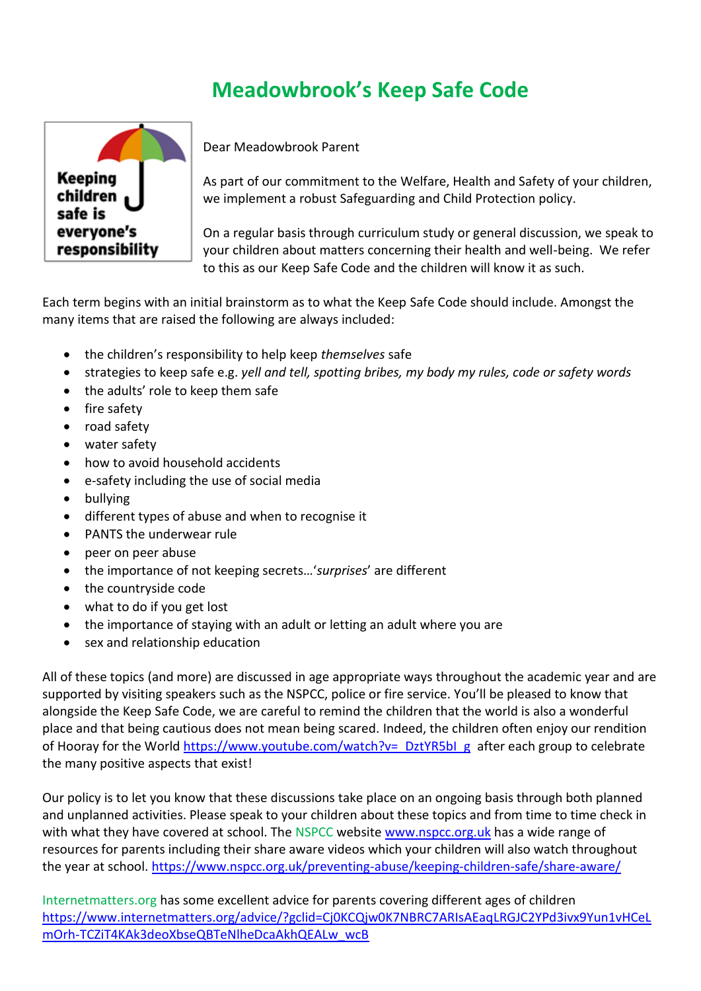## **Meadowbrook's Keep Safe Code**



Dear Meadowbrook Parent

As part of our commitment to the Welfare, Health and Safety of your children, we implement a robust Safeguarding and Child Protection policy.

On a regular basis through curriculum study or general discussion, we speak to your children about matters concerning their health and well-being. We refer to this as our Keep Safe Code and the children will know it as such.

Each term begins with an initial brainstorm as to what the Keep Safe Code should include. Amongst the many items that are raised the following are always included:

- the children's responsibility to help keep *themselves* safe
- strategies to keep safe e.g. *yell and tell, spotting bribes, my body my rules, code or safety words*
- the adults' role to keep them safe
- $\bullet$  fire safety
- road safety
- water safety
- how to avoid household accidents
- e-safety including the use of social media
- bullying
- different types of abuse and when to recognise it
- PANTS the underwear rule
- peer on peer abuse
- the importance of not keeping secrets…'*surprises*' are different
- the countryside code
- what to do if you get lost
- the importance of staying with an adult or letting an adult where you are
- sex and relationship education

All of these topics (and more) are discussed in age appropriate ways throughout the academic year and are supported by visiting speakers such as the NSPCC, police or fire service. You'll be pleased to know that alongside the Keep Safe Code, we are careful to remind the children that the world is also a wonderful place and that being cautious does not mean being scared. Indeed, the children often enjoy our rendition of Hooray for the World https://www.youtube.com/watch?v= DztYR5bI\_g after each group to celebrate the many positive aspects that exist!

Our policy is to let you know that these discussions take place on an ongoing basis through both planned and unplanned activities. Please speak to your children about these topics and from time to time check in with what they have covered at school. The NSPCC website [www.nspcc.org.uk](http://www.nspcc.org.uk/) has a wide range of resources for parents including their share aware videos which your children will also watch throughout the year at school. <https://www.nspcc.org.uk/preventing-abuse/keeping-children-safe/share-aware/>

Internetmatters.org has some excellent advice for parents covering different ages of children [https://www.internetmatters.org/advice/?gclid=Cj0KCQjw0K7NBRC7ARIsAEaqLRGJC2YPd3ivx9Yun1vHCeL](https://www.internetmatters.org/advice/?gclid=Cj0KCQjw0K7NBRC7ARIsAEaqLRGJC2YPd3ivx9Yun1vHCeLmOrh-TCZiT4KAk3deoXbseQBTeNlheDcaAkhQEALw_wcB) [mOrh-TCZiT4KAk3deoXbseQBTeNlheDcaAkhQEALw\\_wcB](https://www.internetmatters.org/advice/?gclid=Cj0KCQjw0K7NBRC7ARIsAEaqLRGJC2YPd3ivx9Yun1vHCeLmOrh-TCZiT4KAk3deoXbseQBTeNlheDcaAkhQEALw_wcB)